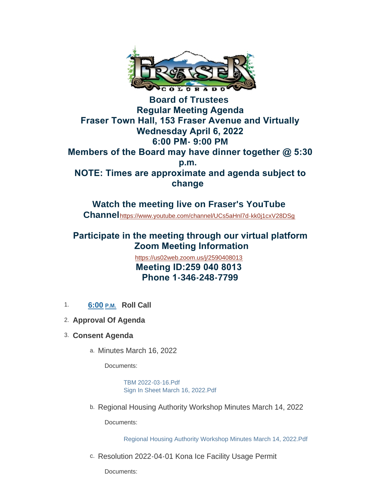

**Board of Trustees Regular Meeting Agenda Fraser Town Hall, 153 Fraser Avenue and Virtually Wednesday April 6, 2022 6:00 PM- 9:00 PM Members of the Board may have dinner together @ 5:30 p.m. NOTE: Times are approximate and agenda subject to change** 

**Watch the meeting live on Fraser's YouTube Channel**<https://www.youtube.com/channel/UCs5aHnl7d-kk0j1cxV28DSg>

# **Participate in the meeting through our virtual platform Zoom Meeting Information**

<https://us02web.zoom.us/j/2590408013>  **Meeting ID:259 040 8013 Phone 1-346-248-7799**

- 1. **6:00 P.M. Roll Call**
- **Approval Of Agenda** 2.
- **Consent Agenda** 3.
	- a. Minutes March 16, 2022

Documents:

[TBM 2022-03-16.Pdf](https://www.frasercolorado.com/AgendaCenter/ViewFile/Item/4028?fileID=3536) [Sign In Sheet March 16, 2022.Pdf](https://www.frasercolorado.com/AgendaCenter/ViewFile/Item/4028?fileID=3535)

b. Regional Housing Authority Workshop Minutes March 14, 2022

Documents:

[Regional Housing Authority Workshop Minutes March 14, 2022.Pdf](https://www.frasercolorado.com/AgendaCenter/ViewFile/Item/4031?fileID=3543)

c. Resolution 2022-04-01 Kona Ice Facility Usage Permit

Documents: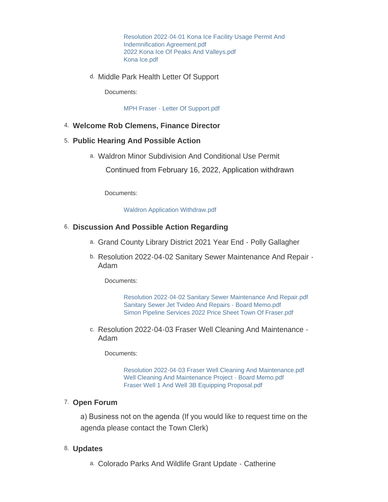[Resolution 2022-04-01 Kona Ice Facility Usage Permit And](https://www.frasercolorado.com/AgendaCenter/ViewFile/Item/4022?fileID=3532)  Indemnification Agreement.pdf [2022 Kona Ice Of Peaks And Valleys.pdf](https://www.frasercolorado.com/AgendaCenter/ViewFile/Item/4022?fileID=3530) [Kona Ice.pdf](https://www.frasercolorado.com/AgendaCenter/ViewFile/Item/4022?fileID=3531)

d. Middle Park Health Letter Of Support

Documents:

[MPH Fraser - Letter Of Support.pdf](https://www.frasercolorado.com/AgendaCenter/ViewFile/Item/4033?fileID=3545)

### **Welcome Rob Clemens, Finance Director** 4.

#### **Public Hearing And Possible Action** 5.

Waldron Minor Subdivision And Conditional Use Permit a.

Continued from February 16, 2022, Application withdrawn

Documents:

[Waldron Application Withdraw.pdf](https://www.frasercolorado.com/AgendaCenter/ViewFile/Item/4026?fileID=3544)

#### **Discussion And Possible Action Regarding** 6.

- a. Grand County Library District 2021 Year End Polly Gallagher
- b. Resolution 2022-04-02 Sanitary Sewer Maintenance And Repair -Adam

Documents:

[Resolution 2022-04-02 Sanitary Sewer Maintenance And Repair.pdf](https://www.frasercolorado.com/AgendaCenter/ViewFile/Item/4030?fileID=3542) [Sanitary Sewer Jet Tvideo And Repairs - Board Memo.pdf](https://www.frasercolorado.com/AgendaCenter/ViewFile/Item/4030?fileID=3540) [Simon Pipeline Services 2022 Price Sheet Town Of Fraser.pdf](https://www.frasercolorado.com/AgendaCenter/ViewFile/Item/4030?fileID=3541)

c. Resolution 2022-04-03 Fraser Well Cleaning And Maintenance -Adam

Documents:

[Resolution 2022-04-03 Fraser Well Cleaning And Maintenance.pdf](https://www.frasercolorado.com/AgendaCenter/ViewFile/Item/4029?fileID=3537) [Well Cleaning And Maintenance Project - Board Memo.pdf](https://www.frasercolorado.com/AgendaCenter/ViewFile/Item/4029?fileID=3538) [Fraser Well 1 And Well 3B Equipping Proposal.pdf](https://www.frasercolorado.com/AgendaCenter/ViewFile/Item/4029?fileID=3539)

#### 7. Open Forum

a) Business not on the agenda (If you would like to request time on the agenda please contact the Town Clerk)

#### **Updates** 8.

Colorado Parks And Wildlife Grant Update - Catherine a.